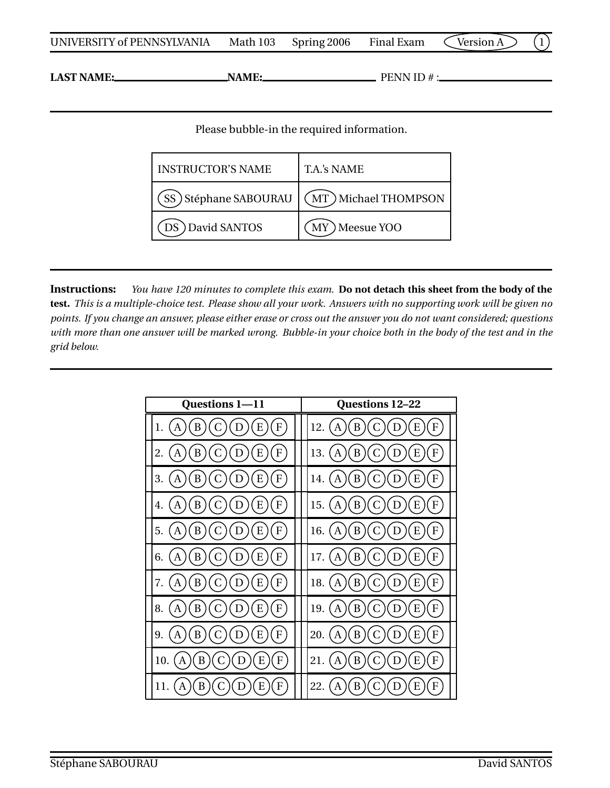| UNIVERSITY of PENNSYLVANIA | Math 103 | Spring 2006 | Final Exam | $\zeta$ Version A $\gtrsim$ |  |  |  |
|----------------------------|----------|-------------|------------|-----------------------------|--|--|--|
|----------------------------|----------|-------------|------------|-----------------------------|--|--|--|

**LAST NAME: NAME: NAME: PENN ID #:** 

Please bubble-in the required information.

| <b>INSTRUCTOR'S NAME</b> | T.A.'s NAME           |  |  |
|--------------------------|-----------------------|--|--|
| SS) Stéphane SABOURAU    | (MT) Michael THOMPSON |  |  |
| DS David SANTOS          | MY Meesue YOO         |  |  |

**Instructions:** *You have 120 minutes to complete this exam.* **Do not detach this sheet from the body of the test.** *This is a multiple-choice test. Please show all your work. Answers with no supporting work will be given no points. If you change an answer, please either erase or cross out the answer you do not want considered; questions with more than one answer will be marked wrong. Bubble-in your choice both in the body of the test and in the grid below.*

| Questions 1-11                           | <b>Questions 12-22</b>       |  |  |
|------------------------------------------|------------------------------|--|--|
| ${\bf F}$                                | 12.                          |  |  |
| 1.                                       | A                            |  |  |
| E                                        | B                            |  |  |
| A                                        | F                            |  |  |
| B                                        | E                            |  |  |
| D                                        | D                            |  |  |
| 2.                                       | 13.                          |  |  |
| E                                        | B                            |  |  |
| F                                        | E                            |  |  |
| B                                        | F                            |  |  |
| A                                        | A                            |  |  |
| D                                        | D                            |  |  |
| 3.<br>B<br>F<br>Е                        | 14.<br>В<br>Е                |  |  |
| 4.<br>В<br>F<br>E                        | 15.<br>B<br>F<br>Е<br>А      |  |  |
| 5.                                       | 16.                          |  |  |
| F                                        | B                            |  |  |
| B                                        | E                            |  |  |
| С                                        | F                            |  |  |
| E                                        | C                            |  |  |
| Α                                        | A                            |  |  |
| D                                        | D                            |  |  |
| 6.                                       | 17.                          |  |  |
| B                                        | B                            |  |  |
| E                                        | E                            |  |  |
| C                                        | F                            |  |  |
| F                                        | C                            |  |  |
| Α                                        | A                            |  |  |
| D                                        | D                            |  |  |
| B<br>C<br>E<br>${\bf F}$<br>7.<br>A<br>D | B<br>F<br>18.<br>E<br>A<br>D |  |  |
| 8.<br>F<br>В<br>Е                        | 19.<br>F<br>В<br>Е<br>А      |  |  |
| 9.                                       | 20.                          |  |  |
| F                                        | B                            |  |  |
| B                                        | Е                            |  |  |
| Ε                                        | F                            |  |  |
| Α                                        | Α                            |  |  |
| D                                        | D                            |  |  |
| 10.                                      | 21.                          |  |  |
| F                                        | В                            |  |  |
| B                                        | Е                            |  |  |
| Ε                                        | F                            |  |  |
| A                                        | А                            |  |  |
| B                                        | 22.                          |  |  |
| F                                        | в                            |  |  |
| 11.                                      | F                            |  |  |
| Е                                        | А                            |  |  |
| Α                                        | н                            |  |  |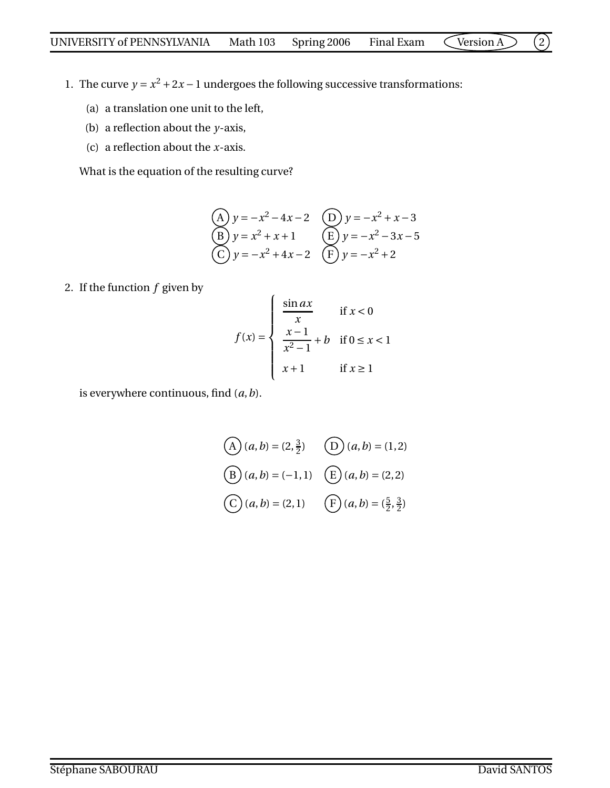- 1. The curve  $y = x^2 + 2x 1$  undergoes the following successive transformations:
	- (a) a translation one unit to the left,
	- (b) a reflection about the *y*-axis,
	- (c) a reflection about the *x*-axis.

What is the equation of the resulting curve?

(A) 
$$
y = -x^2 - 4x - 2
$$
  
\n(B)  $y = x^2 + x + 1$   
\n(C)  $y = -x^2 + 4x - 2$   
\n(D)  $y = -x^2 + x - 3$   
\n(E)  $y = -x^2 - 3x - 5$   
\n(E)  $y = -x^2 + 2$ 

2. If the function *f* given by

$$
f(x) = \begin{cases} \frac{\sin ax}{x} & \text{if } x < 0\\ \frac{x-1}{x^2-1} + b & \text{if } 0 \le x < 1\\ x+1 & \text{if } x \ge 1 \end{cases}
$$

is everywhere continuous, find (*a*,*b*).

$$
(A) (a, b) = (2, \frac{3}{2}) \qquad (D) (a, b) = (1, 2)
$$
  
\n
$$
(B) (a, b) = (-1, 1) \qquad (E) (a, b) = (2, 2)
$$
  
\n
$$
(C) (a, b) = (2, 1) \qquad (F) (a, b) = (\frac{5}{2}, \frac{3}{2})
$$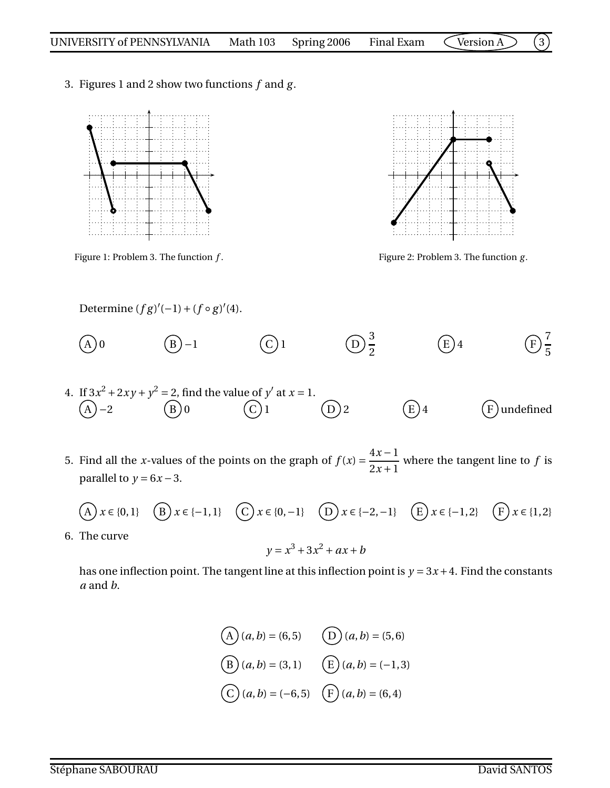3. Figures 1 and 2 show two functions *f* and *g* .





Figure 1: Problem 3. The function *f* . Figure 2: Problem 3. The function *g* .

Determine  $(fg)'(-1) + (f \circ g)'(4)$ .

(A) 0 (B) -1 (C) 1 (D) 
$$
\frac{3}{2}
$$
 (E) 4 (F)  $\frac{7}{5}$ 

- 4. If  $3x^2 + 2xy + y^2 = 2$ , find the value of *y'* at  $x = 1$ .  $(A - 2)$   $(B) 0$   $(C) 1$   $(D) 2$   $(E) 4$   $(F)$  undefined
- 5. Find all the *x*-values of the points on the graph of  $f(x) =$ 4*x* −1  $2x + 1$ where the tangent line to *f* is parallel to  $y = 6x - 3$ .

$$
(A) x \in \{0, 1\} \quad (B) x \in \{-1, 1\} \quad (C) x \in \{0, -1\} \quad (D) x \in \{-2, -1\} \quad (E) x \in \{-1, 2\} \quad (F) x \in \{1, 2\}
$$

6. The curve

$$
y = x^3 + 3x^2 + ax + b
$$

has one inflection point. The tangent line at this inflection point is  $y = 3x + 4$ . Find the constants *a* and *b*.

(A) 
$$
(a, b) = (6, 5)
$$
 (D)  $(a, b) = (5, 6)$   
\n(B)  $(a, b) = (3, 1)$  (E)  $(a, b) = (-1, 3)$   
\n(C)  $(a, b) = (-6, 5)$  (F)  $(a, b) = (6, 4)$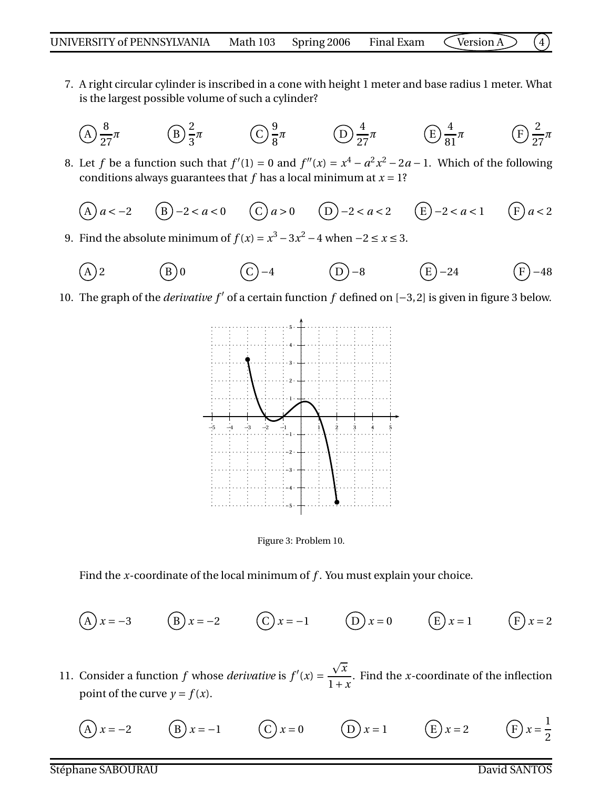- 7. A right circular cylinder is inscribed in a cone with height 1 meter and base radius 1 meter. What is the largest possible volume of such a cylinder?
	- A 8 27  $\pi$  (B)  $\frac{2}{3}$ 3  $\pi$  (C)  $\frac{9}{6}$ 8 *π* D 4 27  $\pi$  (E)  $\frac{4}{5}$ 81 *π* (F 2 27 *π*
- 8. Let *f* be a function such that  $f'(1) = 0$  and  $f''(x) = x^4 a^2x^2 2a 1$ . Which of the following conditions always guarantees that  $f$  has a local minimum at  $x = 1$ ?

(A) 
$$
a < -2
$$
 (B)  $-2 < a < 0$  (C)  $a > 0$  (D)  $-2 < a < 2$  (E)  $-2 < a < 1$  (F)  $a < 2$ 

9. Find the absolute minimum of  $f(x) = x^3 - 3x^2 - 4$  when −2 ≤ *x* ≤ 3.

$$
(A) 2 \t\t (B) 0 \t\t (C) -4 \t\t (D) -8 \t\t (E) -24 \t\t (F) -48
$$

10. The graph of the *derivative f* ′ of a certain function *f* defined on [−3,2] is given in figure 3 below.





Find the *x*-coordinate of the local minimum of *f* . You must explain your choice.

(A) 
$$
x = -3
$$
 (B)  $x = -2$  (C)  $x = -1$  (D)  $x = 0$  (E)  $x = 1$  (F)  $x = 2$ 

- 11. Consider a function  $f$  whose *derivative* is  $f'(x) =$  $\sqrt{x}$  $1 + x$ . Find the *x*-coordinate of the inflection point of the curve  $y = f(x)$ .
	- $x = -2$  (B)  $x = -1$  (C)  $x = 0$  (D)  $x = 1$  (E)  $x = 2$ 1 2

Stéphane SABOURAU David SANTOS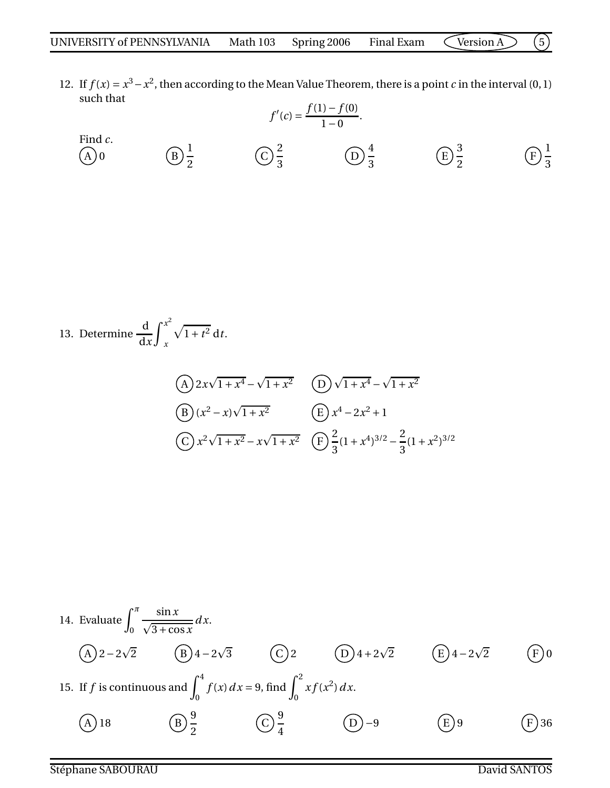12. If  $f(x) = x^3 - x^2$ , then according to the Mean Value Theorem, there is a point *c* in the interval (0, 1) such that *f* (1)− *f* (0)

Find *c*.  
\n(A) 0 \t\t (B) 
$$
\frac{1}{2}
$$
 \t\t (C)  $\frac{2}{3}$  \t\t (D)  $\frac{4}{3}$  \t\t (E)  $\frac{3}{2}$  \t\t (E)  $\frac{1}{3}$ 

13. Determine 
$$
\frac{d}{dx} \int_{x}^{x^2} \sqrt{1+t^2} dt
$$
.  
\n(A)  $2x\sqrt{1+x^4} - \sqrt{1+x^2}$  (B)  $\sqrt{1+x^4} - \sqrt{1+x^2}$   
\n(B)  $(x^2 - x)\sqrt{1+x^2}$  (E)  $x^4 - 2x^2 + 1$   
\n(C)  $x^2\sqrt{1+x^2} - x\sqrt{1+x^2}$  (F)  $\frac{2}{3}(1+x^4)^{3/2} - \frac{2}{3}(1+x^2)^{3/2}$ 

14. Evaluate 
$$
\int_0^{\pi} \frac{\sin x}{\sqrt{3 + \cos x}} dx
$$
.  
\n(A)  $2 - 2\sqrt{2}$  (B)  $4 - 2\sqrt{3}$  (C)  $2$  (D)  $4 + 2\sqrt{2}$  (E)  $4 - 2\sqrt{2}$  (F) 0  
\n15. If *f* is continuous and  $\int_0^4 f(x) dx = 9$ , find  $\int_0^2 x f(x^2) dx$ .  
\n(A) 18 (B)  $\frac{9}{2}$  (C)  $\frac{9}{4}$  (D) -9 (E) 9 (F) 36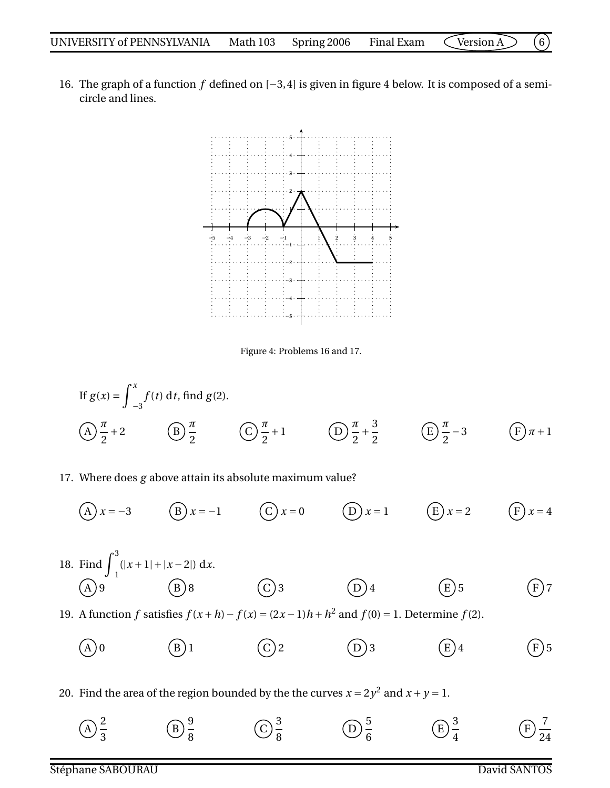16. The graph of a function *f* defined on [−3,4] is given in figure 4 below. It is composed of a semicircle and lines.



Figure 4: Problems 16 and 17.

If 
$$
g(x) = \int_{-3}^{x} f(t) dt
$$
, find  $g(2)$ .  
\n(A)  $\frac{\pi}{2} + 2$  (B)  $\frac{\pi}{2}$  (C)  $\frac{\pi}{2} + 1$  (D)  $\frac{\pi}{2} + \frac{3}{2}$  (E)  $\frac{\pi}{2} - 3$  (F)  $\pi + 1$ 

## 17. Where does *g* above attain its absolute maximum value?

 $(A) x = -3$  B *x* = −1 C *x* = 0 D *x* = 1 E *x* = 2 F *x* = 4

18. Find  $\int_0^3$  $\int_{1}^{x+1} |x-2| dx$ . A  $($ B  $)$ 8  $($ C  $)$ 3  $($ D  $)$ 4  $($ E  $)$ 5  $($  F  $)$ 7

19. A function *f* satisfies  $f(x+h) - f(x) = (2x-1)h + h^2$  and  $f(0) = 1$ . Determine  $f(2)$ .

- A ) 0  $(B)1$   $(C)2$   $(D)3$   $(E)4$   $(F)5$
- 20. Find the area of the region bounded by the the curves  $x = 2y^2$  and  $x + y = 1$ .
	- A 2 3 B 9 8 C 3 8 D 5 6 E 3 4  $\boldsymbol{\mathrm{F}}$ 7 24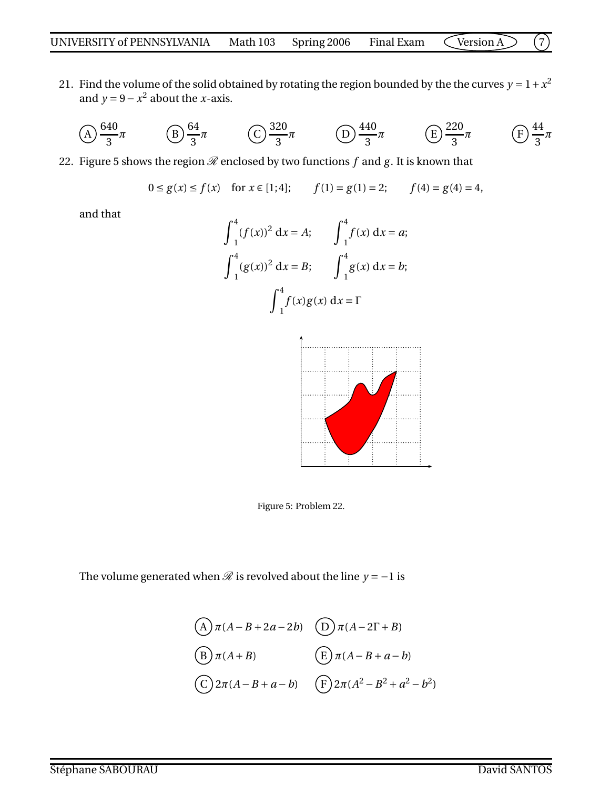21. Find the volume of the solid obtained by rotating the region bounded by the the curves  $y = 1 + x^2$ and  $y = 9 - x^2$  about the *x*-axis.

$$
\text{(A)} \frac{640}{3}\pi \qquad \text{(B)} \frac{64}{3}\pi \qquad \text{(C)} \frac{320}{3}\pi \qquad \text{(D)} \frac{440}{3}\pi \qquad \text{(E)} \frac{220}{3}\pi \qquad \text{(F)} \frac{44}{3}\pi
$$

- 22. Figure 5 shows the region  $\mathscr R$  enclosed by two functions  $f$  and  $g$ . It is known that
	- $0 \le g(x) \le f(x)$  for  $x \in [1, 4]$ ;  $f(1) = g(1) = 2$ ;  $f(4) = g(4) = 4$ ,

and that

$$
\int_{1}^{4} (f(x))^{2} dx = A; \qquad \int_{1}^{4} f(x) dx = a;
$$

$$
\int_{1}^{4} (g(x))^{2} dx = B; \qquad \int_{1}^{4} g(x) dx = b;
$$

$$
\int_{1}^{4} f(x)g(x) dx = \Gamma
$$



Figure 5: Problem 22.

The volume generated when  $\mathcal R$  is revolved about the line  $y = -1$  is

$$
(A) \pi(A - B + 2a - 2b) \quad (D) \pi(A - 2\Gamma + B)
$$
  
\n
$$
(B) \pi(A + B) \quad (E) \pi(A - B + a - b)
$$
  
\n
$$
(C) 2\pi(A - B + a - b) \quad (F) 2\pi(A^2 - B^2 + a^2 - b^2)
$$